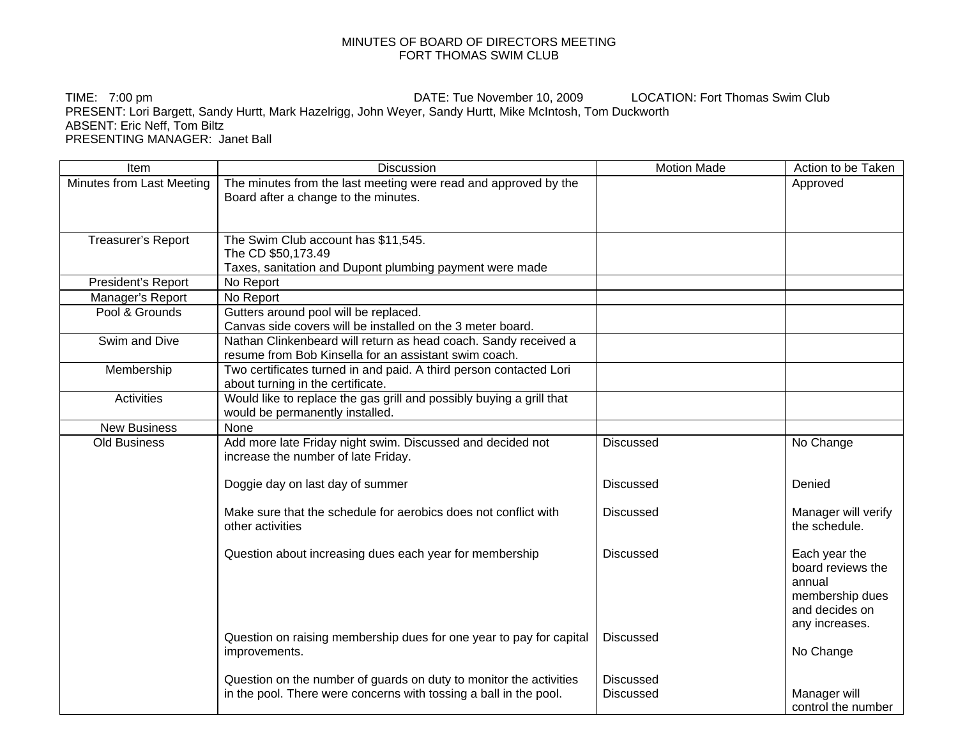## MINUTES OF BOARD OF DIRECTORS MEETING FORT THOMAS SWIM CLUB

TIME: 7:00 pm **DATE:** Tue November 10, 2009 LOCATION: Fort Thomas Swim Club PRESENT: Lori Bargett, Sandy Hurtt, Mark Hazelrigg, John Weyer, Sandy Hurtt, Mike McIntosh, Tom Duckworth ABSENT: Eric Neff, Tom Biltz PRESENTING MANAGER: Janet Ball

| Item                      | <b>Discussion</b>                                                                                         | <b>Motion Made</b> | Action to be Taken               |
|---------------------------|-----------------------------------------------------------------------------------------------------------|--------------------|----------------------------------|
| Minutes from Last Meeting | The minutes from the last meeting were read and approved by the                                           |                    | Approved                         |
|                           | Board after a change to the minutes.                                                                      |                    |                                  |
|                           |                                                                                                           |                    |                                  |
| Treasurer's Report        | The Swim Club account has \$11,545.                                                                       |                    |                                  |
|                           | The CD \$50,173.49                                                                                        |                    |                                  |
|                           | Taxes, sanitation and Dupont plumbing payment were made                                                   |                    |                                  |
| President's Report        | No Report                                                                                                 |                    |                                  |
| Manager's Report          | No Report                                                                                                 |                    |                                  |
| Pool & Grounds            | Gutters around pool will be replaced.                                                                     |                    |                                  |
|                           | Canvas side covers will be installed on the 3 meter board.                                                |                    |                                  |
| Swim and Dive             | Nathan Clinkenbeard will return as head coach. Sandy received a                                           |                    |                                  |
|                           | resume from Bob Kinsella for an assistant swim coach.                                                     |                    |                                  |
| Membership                | Two certificates turned in and paid. A third person contacted Lori                                        |                    |                                  |
| <b>Activities</b>         | about turning in the certificate.<br>Would like to replace the gas grill and possibly buying a grill that |                    |                                  |
|                           | would be permanently installed.                                                                           |                    |                                  |
| <b>New Business</b>       | None                                                                                                      |                    |                                  |
| <b>Old Business</b>       | Add more late Friday night swim. Discussed and decided not                                                | <b>Discussed</b>   | No Change                        |
|                           | increase the number of late Friday.                                                                       |                    |                                  |
|                           |                                                                                                           |                    |                                  |
|                           | Doggie day on last day of summer                                                                          | <b>Discussed</b>   | Denied                           |
|                           | Make sure that the schedule for aerobics does not conflict with                                           | <b>Discussed</b>   | Manager will verify              |
|                           | other activities                                                                                          |                    | the schedule.                    |
|                           |                                                                                                           |                    |                                  |
|                           | Question about increasing dues each year for membership                                                   | <b>Discussed</b>   | Each year the                    |
|                           |                                                                                                           |                    | board reviews the                |
|                           |                                                                                                           |                    | annual                           |
|                           |                                                                                                           |                    | membership dues                  |
|                           |                                                                                                           |                    | and decides on<br>any increases. |
|                           | Question on raising membership dues for one year to pay for capital                                       | <b>Discussed</b>   |                                  |
|                           | improvements.                                                                                             |                    | No Change                        |
|                           |                                                                                                           |                    |                                  |
|                           | Question on the number of guards on duty to monitor the activities                                        | <b>Discussed</b>   |                                  |
|                           | in the pool. There were concerns with tossing a ball in the pool.                                         | <b>Discussed</b>   | Manager will                     |
|                           |                                                                                                           |                    | control the number               |